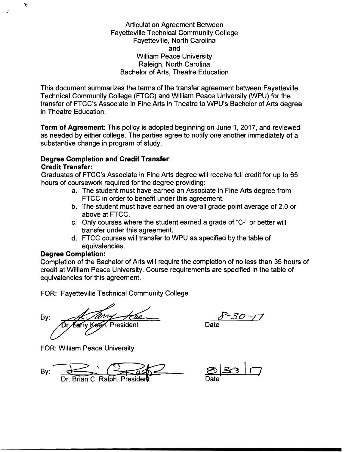Articulation Agreement Between Fayetteville Technical Community College Fayetteville, North Carolina and William Peace University Raleigh, North Carolina Bachelor of Arts, Theatre Education

This document summarizes the terms of the transfer agreement between Fayetteville Technical Community College (FTCC) and William Peace University (WPU) for the transfer of FTCC's Associate in Fine Arts in Theatre to WPU's Bachelor of Arts degree in Theatre Education.

**Term of Agreement:** This policy is adopted beginning on June 1, 2017, and reviewed as needed by either college. The parties agree to notify one another immediately of a substantive change in program of study.

## **Degree Completion and Credit Transfer: Credit Transfer:**

Graduates of FTCC's Associate in Fine Arts degree will receive full credit for up to 65 hours of coursework required for the degree providing:

- a. The student must have earned an Associate in Fine Arts degree from FTCC in order to benefit under this agreement.
- b. The student must have earned an overall grade point average of 2.0 or above at FTCC.
- c. Only courses where the student earned a grade of "C-" or better will transfer under this agreement.
- d. FTCC courses will transfer to WPU as specified by the table of equivalencies.

## **Degree Completion:**

Y

Completion of the Bachelor of Arts will require the completion of no less than 35 hours of credit at William Peace University. Course requirements are specified in the table of equivalencies for this agreement.

FOR: Fayetteville Technical Community College

By: President

FOR: William Peace University

By:  $\frac{1}{\sqrt{1-\frac{1}{1}}\sqrt{1-\frac{1}{1}}\sqrt{1-\frac{1}{1}}\sqrt{1-\frac{1}{1}}}}$   $\frac{8}{20}\frac{30}{17}$ 

£-30 -/'7

Date

Date<sup>®</sup>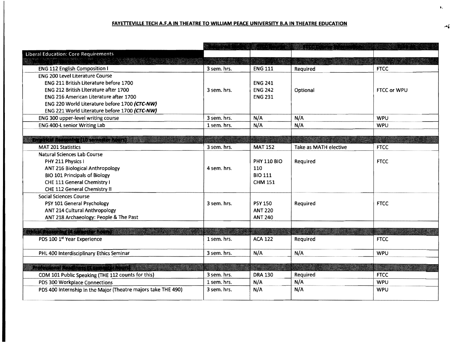## **FAYETIEVILLE TECH** A.F.A **IN THEATRE TO WILLIAM PEACE UNIVERSITY** B.A **IN THEATRE EDUCATION** .....,

| <b>Liberal Education: Core Requirements</b>                   |             |                    |                       |             |
|---------------------------------------------------------------|-------------|--------------------|-----------------------|-------------|
|                                                               |             |                    |                       |             |
| <b>ENG 112 English Composition I</b>                          | 3 sem. hrs. | <b>ENG 111</b>     | Required              | <b>FTCC</b> |
| <b>ENG 200 Level Literature Course</b>                        |             |                    |                       |             |
| ENG 211 British Literature before 1700                        |             | <b>ENG 241</b>     |                       |             |
| <b>ENG 212 British Literature after 1700</b>                  | 3 sem. hrs. | <b>ENG 242</b>     | Optional              | FTCC or WPU |
| <b>ENG 216 American Literature after 1700</b>                 |             | <b>ENG 231</b>     |                       |             |
| ENG 220 World Literature before 1700 (CTC-NW)                 |             |                    |                       |             |
| ENG 221 World Literature before 1700 (CTC-NW)                 |             |                    |                       |             |
| ENG 300 upper-level writing course                            | 3 sem. hrs. | N/A                | N/A                   | <b>WPU</b>  |
| <b>ENG 400-L senior Writing Lab</b>                           | 1 sem. hrs. | N/A                | N/A                   | <b>WPU</b>  |
|                                                               |             |                    |                       |             |
| Environ (Acceptor II) semencements i                          |             |                    |                       |             |
| <b>MAT 201 Statistics</b>                                     | 3 sem. hrs. | <b>MAT 152</b>     | Take as MATH elective | <b>FTCC</b> |
| Natural Sciences Lab Course                                   |             |                    |                       |             |
| PHY 211 Physics I                                             |             | <b>PHY 110 BIO</b> | Required              | <b>FTCC</b> |
| ANT 216 Biological Anthropology                               | 4 sem. hrs. | 110                |                       |             |
| <b>BIO 101 Principals of Biology</b>                          |             | <b>BIO 111</b>     |                       |             |
| CHE 111 General Chemistry I                                   |             | <b>CHM 151</b>     |                       |             |
| CHE 112 General Chemistry II                                  |             |                    |                       |             |
| <b>Social Sciences Course</b>                                 |             |                    |                       |             |
| PSY 101 General Psychology                                    | 3 sem. hrs. | <b>PSY 150</b>     | Required              | <b>FTCC</b> |
| <b>ANT 214 Cultural Anthropology</b>                          |             | <b>ANT 220</b>     |                       |             |
| ANT 218 Archaeology: People & The Past                        |             | <b>ANT 240</b>     |                       |             |
|                                                               |             |                    |                       |             |
| THE PERSON NEWSFILM                                           |             |                    |                       |             |
| PDS 100 1st Year Experience                                   | 1 sem. hrs. | <b>ACA 122</b>     | Required              | <b>FTCC</b> |
| PHL 400 Interdisciplinary Ethics Seminar                      | 3 sem. hrs. | N/A                | N/A                   | <b>WPU</b>  |
|                                                               |             |                    |                       |             |
| NG KABUPATÈN SEKALIRI NG KALENDAR                             |             |                    |                       |             |
| COM 101 Public Speaking (THE 112 counts for this)             | 3 sem. hrs. | <b>DRA 130</b>     | Required              | <b>FTCC</b> |
| PDS 300 Workplace Connections                                 | 1 sem. hrs. | N/A                | N/A                   | <b>WPU</b>  |
| PDS 400 Internship in the Major (Theatre majors take THE 490) | 3 sem. hrs. | N/A                | N/A                   | <b>WPU</b>  |
|                                                               |             |                    |                       |             |

t.,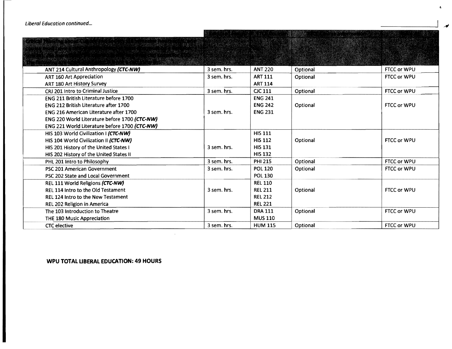| ANT 214 Cultural Anthropology (CTC-NW)        | 3 sem. hrs. | <b>ANT 220</b> | Optional | FTCC or WPU        |
|-----------------------------------------------|-------------|----------------|----------|--------------------|
|                                               |             |                |          |                    |
| <b>ART 160 Art Appreciation</b>               | 3 sem. hrs. | <b>ART 111</b> | Optional | FTCC or WPU        |
| ART 180 Art History Survey                    |             | <b>ART 114</b> |          |                    |
| CRJ 201 Intro to Criminal Justice             | 3 sem. hrs. | <b>CJC 111</b> | Optional | FTCC or WPU        |
| FNG 211 British Literature before 1700        |             | <b>ENG 241</b> |          |                    |
| ENG 212 British Literature after 1700         |             | <b>ENG 242</b> | Optional | <b>FTCC or WPU</b> |
| <b>ENG 216 American Literature after 1700</b> | 3 sem. hrs. | <b>ENG 231</b> |          |                    |
| ENG 220 World Literature before 1700 (CTC-NW) |             |                |          |                    |
| ENG 221 World Literature before 1700 (CTC-NW) |             |                |          |                    |
| HIS 103 World Civilization I (CTC-NW)         |             | <b>HIS 111</b> |          |                    |
| HIS 104 World Civilization II (CTC-NW)        |             | <b>HIS 112</b> | Optional | FTCC or WPU        |
| HIS 201 History of the United States I        | 3 sem. hrs. | <b>HIS 131</b> |          |                    |
| HIS 202 History of the United States II       |             | <b>HIS 132</b> |          |                    |
| PHL 201 Intro to Philosophy                   | 3 sem. hrs. | <b>PHI 215</b> | Optional | FTCC or WPU        |
| PSC 201 American Government                   | 3 sem. hrs. | <b>POL 120</b> | Optional | FTCC or WPU        |
| PSC 202 State and Local Government            |             | <b>POL 130</b> |          |                    |
| REL 111 World Religions (CTC-NW)              |             | <b>REL 110</b> |          |                    |
| REL 114 Intro to the Old Testament            | 3 sem. hrs. | <b>REL 211</b> | Optional | FTCC or WPU        |
| <b>REL 124 Intro to the New Testament</b>     |             | <b>REL 212</b> |          |                    |
| REL 202 Religion in America                   |             | <b>REL 221</b> |          |                    |
| The 103 Introduction to Theatre               | 3 sem. hrs. | <b>DRA 111</b> | Optional | FTCC or WPU        |
| THE 180 Music Appreciation                    |             | <b>MUS 110</b> |          |                    |
| <b>CTC</b> elective                           | 3 sem. hrs. | <b>HUM 115</b> | Optional | <b>FTCC or WPU</b> |

The necessary which is

## WPU TOTAL LIBERAL EDUCATION: 49 HOURS

t,